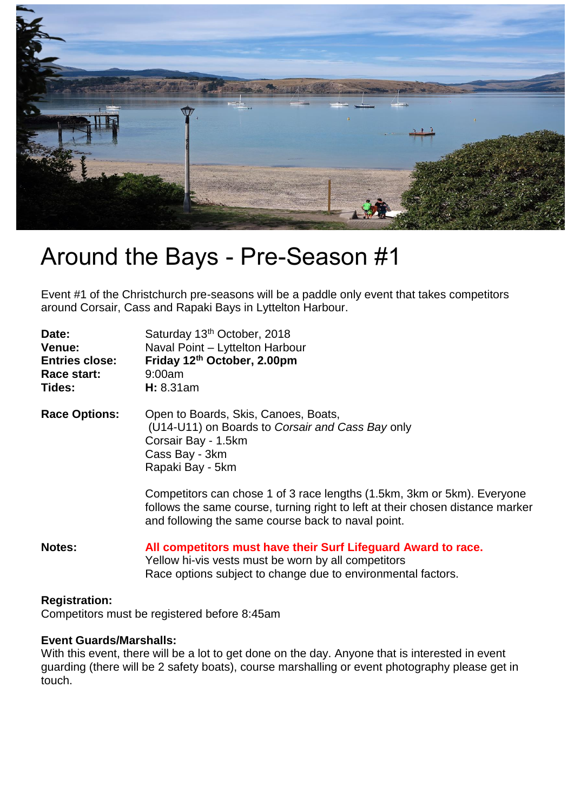

## Around the Bays - Pre-Season #1

Event #1 of the Christchurch pre-seasons will be a paddle only event that takes competitors around Corsair, Cass and Rapaki Bays in Lyttelton Harbour.

| Date:<br>Venue:<br><b>Entries close:</b><br>Race start:<br>Tides: | Saturday 13th October, 2018<br>Naval Point - Lyttelton Harbour<br>Friday 12th October, 2.00pm<br>9:00am<br>H: 8.31am                                                                                            |
|-------------------------------------------------------------------|-----------------------------------------------------------------------------------------------------------------------------------------------------------------------------------------------------------------|
| <b>Race Options:</b>                                              | Open to Boards, Skis, Canoes, Boats,<br>(U14-U11) on Boards to Corsair and Cass Bay only<br>Corsair Bay - 1.5km<br>Cass Bay - 3km<br>Rapaki Bay - 5km                                                           |
|                                                                   | Competitors can chose 1 of 3 race lengths (1.5km, 3km or 5km). Everyone<br>follows the same course, turning right to left at their chosen distance marker<br>and following the same course back to naval point. |
| <b>Notes:</b>                                                     | All competitors must have their Surf Lifeguard Award to race.<br>Yellow hi-vis vests must be worn by all competitors<br>Race options subject to change due to environmental factors.                            |

## **Registration:**

Competitors must be registered before 8:45am

## **Event Guards/Marshalls:**

With this event, there will be a lot to get done on the day. Anyone that is interested in event guarding (there will be 2 safety boats), course marshalling or event photography please get in touch.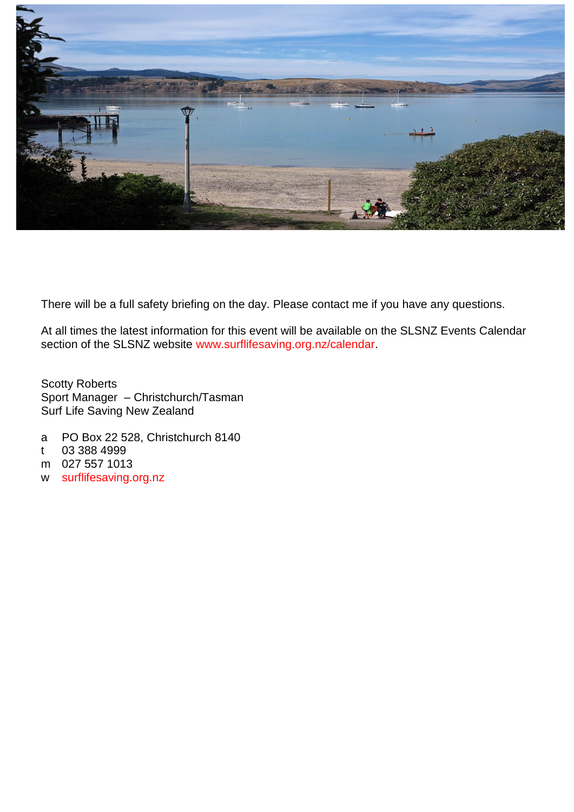

There will be a full safety briefing on the day. Please contact me if you have any questions.

At all times the latest information for this event will be available on the SLSNZ Events Calendar section of the SLSNZ website [www.surflifesaving.org.nz/calendar.](http://www.surflifesaving.org.nz/calendar)

Scotty Roberts Sport Manager – Christchurch/Tasman Surf Life Saving New Zealand

- a PO Box 22 528, Christchurch 8140
- t 03 388 4999
- m 027 557 1013
- w [surflifesaving.org.nz](http://surflifesaving.org.nz/)